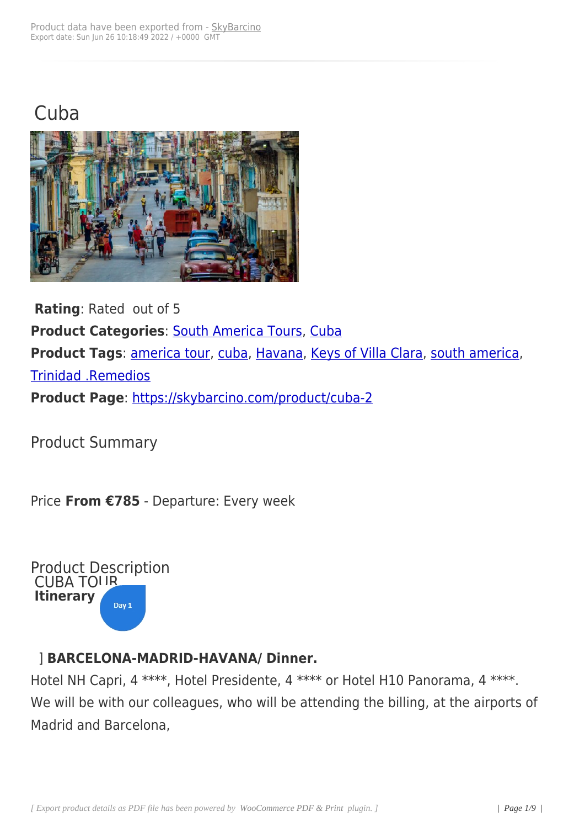## **Cuba**



**Rating**: Rated out of 5 **Product Categories**: South America Tours, Cuba **Product Tags**: america tour, cuba, Havana, Keys of Villa Clara, south america, Trinidad .Remedios **Product Page**: [https://skyba](https://skybarcino.com/product-tag/america-tour)[rcino.](https://skybarcino.com/product-tag/cuba)c[om/prod](https://skybarcino.com/product-tag/havana)[uct/cuba-2](https://skybarcino.com/product-tag/keys-of-villa-clara)

Product Sum[mary](https://skybarcino.com/product/cuba-2)

Price **From €785** - Departure: Every week



#### ] **BARCELONA-MADRID-HAVANA/ Dinner.**

Hotel NH Capri, 4 \*\*\*\*, Hotel Presidente, 4 \*\*\*\* or Hotel H10 Panorama, 4 \*\*\*\*. We will be with our colleagues, who will be attending the billing, at the airports of Madrid and Barcelona,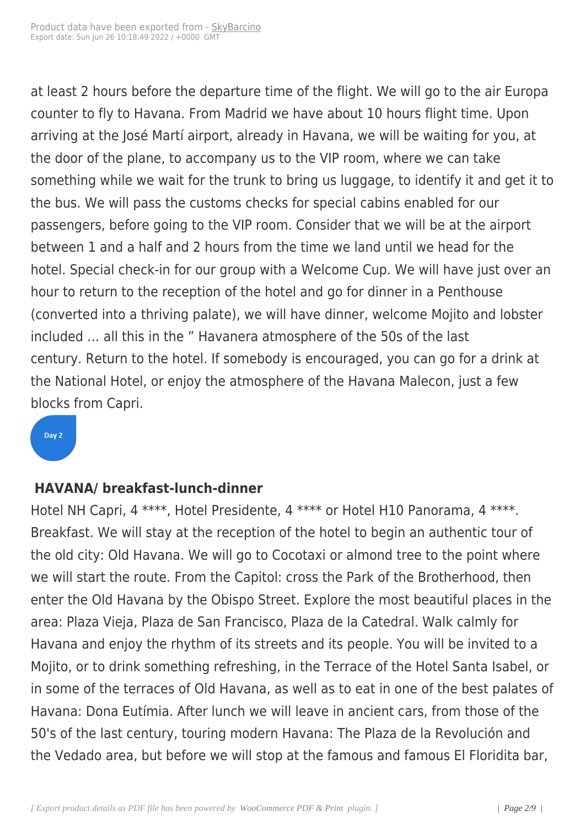at least 2 hours before the departure time of the flight. We will go to the air Europa counter to fly to Havana. From Madrid we have about 10 hours flight time. Upon arriving at the José Martí airport, already in Havana, we will be waiting for you, at the door of the plane, to accompany us to the VIP room, where we can take something while we wait for the trunk to bring us luggage, to identify it and get it to the bus. We will pass the customs checks for special cabins enabled for our passengers, before going to the VIP room. Consider that we will be at the airport between 1 and a half and 2 hours from the time we land until we head for the hotel. Special check-in for our group with a Welcome Cup. We will have just over an hour to return to the reception of the hotel and go for dinner in a Penthouse (converted into a thriving palate), we will have dinner, welcome Mojito and lobster included … all this in the " Havanera atmosphere of the 50s of the last century. Return to the hotel. If somebody is encouraged, you can go for a drink at the National Hotel, or enjoy the atmosphere of the Havana Malecon, just a few blocks from Capri.

#### Day 2

#### **HAVANA/ breakfast-lunch-dinner**

Hotel NH Capri, 4 \*\*\*\*, Hotel Presidente, 4 \*\*\*\* or Hotel H10 Panorama, 4 \*\*\*\*. Breakfast. We will stay at the reception of the hotel to begin an authentic tour of the old city: Old Havana. We will go to Cocotaxi or almond tree to the point where we will start the route. From the Capitol: cross the Park of the Brotherhood, then enter the Old Havana by the Obispo Street. Explore the most beautiful places in the area: Plaza Vieja, Plaza de San Francisco, Plaza de la Catedral. Walk calmly for Havana and enjoy the rhythm of its streets and its people. You will be invited to a Mojito, or to drink something refreshing, in the Terrace of the Hotel Santa Isabel, or in some of the terraces of Old Havana, as well as to eat in one of the best palates of Havana: Dona Eutímia. After lunch we will leave in ancient cars, from those of the 50's of the last century, touring modern Havana: The Plaza de la Revolución and the Vedado area, but before we will stop at the famous and famous El Floridita bar,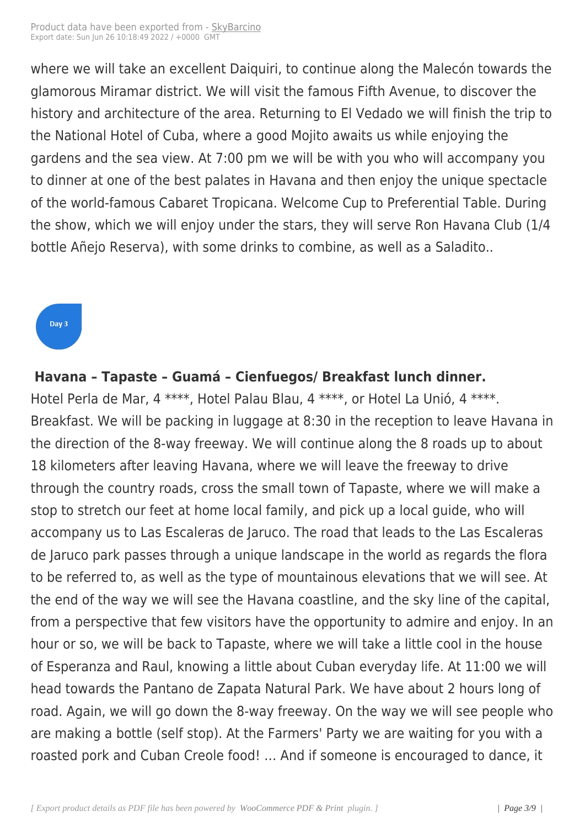where we will take an excell[ent Daiqu](https://skybarcino.com?post_type=product&p=5416)iri, to continue along the Malecón towards the glamorous Miramar district. We will visit the famous Fifth Avenue, to discover the history and architecture of the area. Returning to El Vedado we will finish the trip to the National Hotel of Cuba, where a good Mojito awaits us while enjoying the gardens and the sea view. At 7:00 pm we will be with you who will accompany you to dinner at one of the best palates in Havana and then enjoy the unique spectacle of the world-famous Cabaret Tropicana. Welcome Cup to Preferential Table. During the show, which we will enjoy under the stars, they will serve Ron Havana Club (1/4 bottle Añejo Reserva), with some drinks to combine, as well as a Saladito..

### Day 3

l,

#### **Havana – Tapaste – Guamá – Cienfuegos/ Breakfast lunch dinner.**

Hotel Perla de Mar, 4 \*\*\*\*, Hotel Palau Blau, 4 \*\*\*\*, or Hotel La Unió, 4 \*\*\*\*. Breakfast. We will be packing in luggage at 8:30 in the reception to leave Havana in the direction of the 8-way freeway. We will continue along the 8 roads up to about 18 kilometers after leaving Havana, where we will leave the freeway to drive through the country roads, cross the small town of Tapaste, where we will make a stop to stretch our feet at home local family, and pick up a local guide, who will accompany us to Las Escaleras de Jaruco. The road that leads to the Las Escaleras de Jaruco park passes through a unique landscape in the world as regards the flora to be referred to, as well as the type of mountainous elevations that we will see. At the end of the way we will see the Havana coastline, and the sky line of the capital, from a perspective that few visitors have the opportunity to admire and enjoy. In an hour or so, we will be back to Tapaste, where we will take a little cool in the house of Esperanza and Raul, knowing a little about Cuban everyday life. At 11:00 we will head towards the Pantano de Zapata Natural Park. We have about 2 hours long of road. Again, we will go down the 8-way freeway. On the way we will see people who are making a bottle (self stop). At the Farmers' Party we are waiting for you with a roasted pork and Cuban Creole food! … And if someone is encouraged to dance, it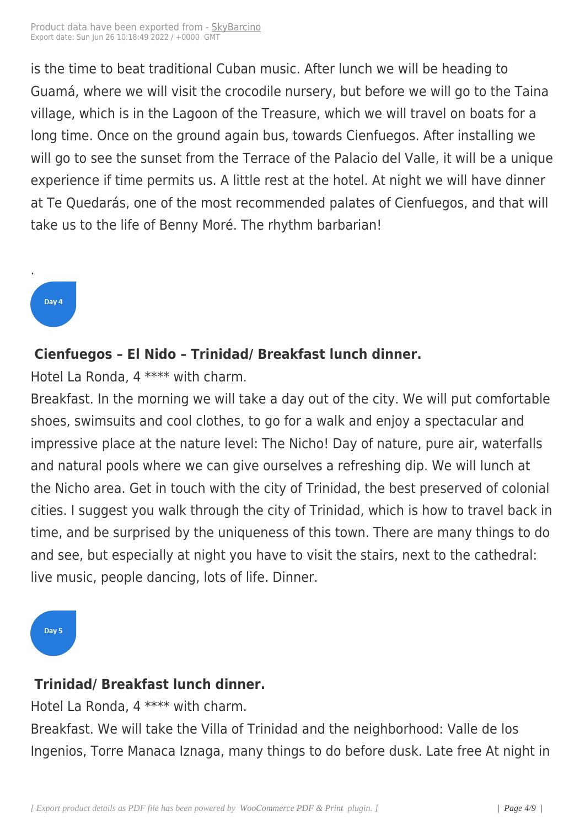is the time to beat traditiona[l Cuban m](https://skybarcino.com?post_type=product&p=5416)usic. After lunch we will be heading to Guamá, where we will visit the crocodile nursery, but before we will go to the Taina village, which is in the Lagoon of the Treasure, which we will travel on boats for a long time. Once on the ground again bus, towards Cienfuegos. After installing we will go to see the sunset from the Terrace of the Palacio del Valle, it will be a unique experience if time permits us. A little rest at the hotel. At night we will have dinner at Te Quedarás, one of the most recommended palates of Cienfuegos, and that will take us to the life of Benny Moré. The rhythm barbarian!

### Day 4

.

#### **Cienfuegos – El Nido – Trinidad/ Breakfast lunch dinner.**

Hotel La Ronda, 4 \*\*\*\* with charm.

Breakfast. In the morning we will take a day out of the city. We will put comfortable shoes, swimsuits and cool clothes, to go for a walk and enjoy a spectacular and impressive place at the nature level: The Nicho! Day of nature, pure air, waterfalls and natural pools where we can give ourselves a refreshing dip. We will lunch at the Nicho area. Get in touch with the city of Trinidad, the best preserved of colonial cities. I suggest you walk through the city of Trinidad, which is how to travel back in time, and be surprised by the uniqueness of this town. There are many things to do and see, but especially at night you have to visit the stairs, next to the cathedral: live music, people dancing, lots of life. Dinner.

Day 5

## **Trinidad/ Breakfast lunch dinner.**

Hotel La Ronda, 4 \*\*\*\* with charm.

Breakfast. We will take the Villa of Trinidad and the neighborhood: Valle de los Ingenios, Torre Manaca Iznaga, many things to do before dusk. Late free At night in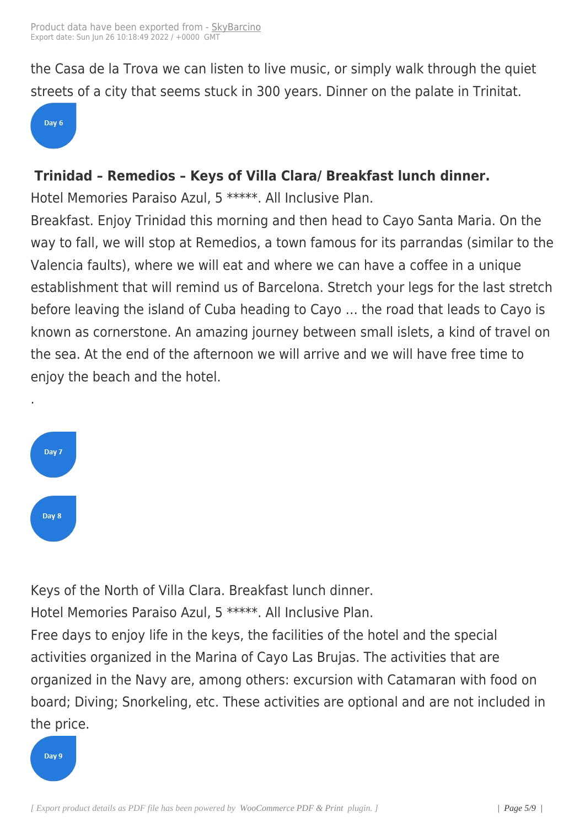the Casa de la Trova we can [listen to](https://skybarcino.com?post_type=product&p=5416) live music, or simply walk through the quiet streets of a city that seems stuck in 300 years. Dinner on the palate in Trinitat.

#### Day 6

#### **Trinidad – Remedios – Keys of Villa Clara/ Breakfast lunch dinner.**

Hotel Memories Paraiso Azul, 5 \*\*\*\*\*. All Inclusive Plan.

Breakfast. Enjoy Trinidad this morning and then head to Cayo Santa Maria. On the way to fall, we will stop at Remedios, a town famous for its parrandas (similar to the Valencia faults), where we will eat and where we can have a coffee in a unique establishment that will remind us of Barcelona. Stretch your legs for the last stretch before leaving the island of Cuba heading to Cayo … the road that leads to Cayo is known as cornerstone. An amazing journey between small islets, a kind of travel on the sea. At the end of the afternoon we will arrive and we will have free time to enjoy the beach and the hotel.



.

Keys of the North of Villa Clara. Breakfast lunch dinner. Hotel Memories Paraiso Azul, 5 \*\*\*\*\*. All Inclusive Plan. Free days to enjoy life in the keys, the facilities of the hotel and the special activities organized in the Marina of Cayo Las Brujas. The activities that are organized in the Navy are, among others: excursion with Catamaran with food on board; Diving; Snorkeling, etc. These activities are optional and are not included in the price.

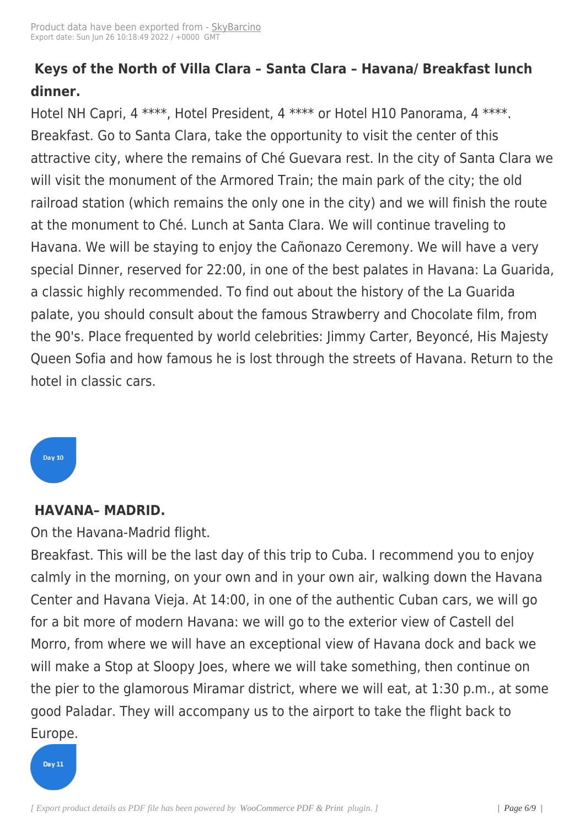## **Keys of the North of Villa [Clara –](https://skybarcino.com?post_type=product&p=5416) Santa Clara – Havana/ Breakfast lunch dinner.**

Hotel NH Capri, 4 \*\*\*\*, Hotel President, 4 \*\*\*\* or Hotel H10 Panorama, 4 \*\*\*\*. Breakfast. Go to Santa Clara, take the opportunity to visit the center of this attractive city, where the remains of Ché Guevara rest. In the city of Santa Clara we will visit the monument of the Armored Train; the main park of the city; the old railroad station (which remains the only one in the city) and we will finish the route at the monument to Ché. Lunch at Santa Clara. We will continue traveling to Havana. We will be staying to enjoy the Cañonazo Ceremony. We will have a very special Dinner, reserved for 22:00, in one of the best palates in Havana: La Guarida, a classic highly recommended. To find out about the history of the La Guarida palate, you should consult about the famous Strawberry and Chocolate film, from the 90's. Place frequented by world celebrities: Jimmy Carter, Beyoncé, His Majesty Queen Sofia and how famous he is lost through the streets of Havana. Return to the hotel in classic cars.

# Day 10

#### **HAVANA– MADRID.**

On the Havana-Madrid flight.

Breakfast. This will be the last day of this trip to Cuba. I recommend you to enjoy calmly in the morning, on your own and in your own air, walking down the Havana Center and Havana Vieja. At 14:00, in one of the authentic Cuban cars, we will go for a bit more of modern Havana: we will go to the exterior view of Castell del Morro, from where we will have an exceptional view of Havana dock and back we will make a Stop at Sloopy Joes, where we will take something, then continue on the pier to the glamorous Miramar district, where we will eat, at 1:30 p.m., at some good Paladar. They will accompany us to the airport to take the flight back to Europe.

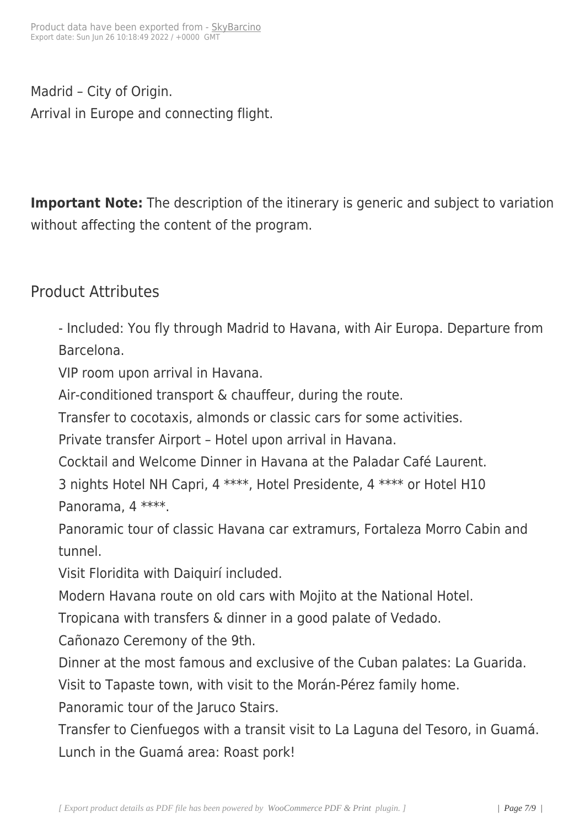Madrid – City of Origin. Arrival in Europe and connecting flight.

**Important Note:** The description of the itinerary is generic and subject to variation without affecting the content of the program.

## Product Attributes

- Included: You fly through Madrid to Havana, with Air Europa. Departure from Barcelona.

VIP room upon arrival in Havana.

Air-conditioned transport & chauffeur, during the route.

Transfer to cocotaxis, almonds or classic cars for some activities.

Private transfer Airport – Hotel upon arrival in Havana.

Cocktail and Welcome Dinner in Havana at the Paladar Café Laurent.

3 nights Hotel NH Capri, 4 \*\*\*\*, Hotel Presidente, 4 \*\*\*\* or Hotel H10 Panorama, 4 \*\*\*\*.

Panoramic tour of classic Havana car extramurs, Fortaleza Morro Cabin and tunnel.

Visit Floridita with Daiquirí included.

Modern Havana route on old cars with Mojito at the National Hotel.

Tropicana with transfers & dinner in a good palate of Vedado.

Cañonazo Ceremony of the 9th.

Dinner at the most famous and exclusive of the Cuban palates: La Guarida.

Visit to Tapaste town, with visit to the Morán-Pérez family home.

Panoramic tour of the Jaruco Stairs.

Transfer to Cienfuegos with a transit visit to La Laguna del Tesoro, in Guamá. Lunch in the Guamá area: Roast pork!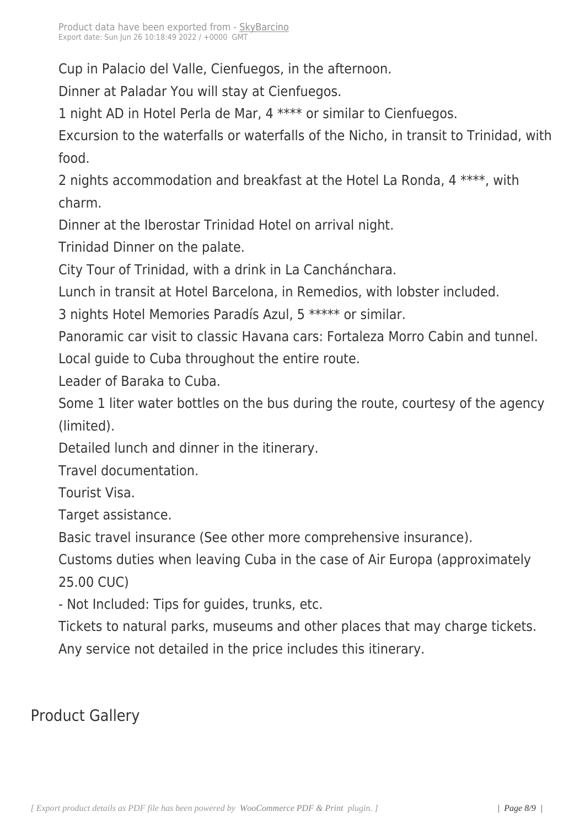Cup in Palacio del Valle, Cien[fuegos, i](https://skybarcino.com?post_type=product&p=5416)n the afternoon.

Dinner at Paladar You will stay at Cienfuegos.

1 night AD in Hotel Perla de Mar, 4 \*\*\*\* or similar to Cienfuegos.

Excursion to the waterfalls or waterfalls of the Nicho, in transit to Trinidad, with food.

2 nights accommodation and breakfast at the Hotel La Ronda, 4 \*\*\*\*, with charm.

Dinner at the Iberostar Trinidad Hotel on arrival night.

Trinidad Dinner on the palate.

City Tour of Trinidad, with a drink in La Canchánchara.

Lunch in transit at Hotel Barcelona, in Remedios, with lobster included.

3 nights Hotel Memories Paradís Azul, 5 \*\*\*\*\* or similar.

Panoramic car visit to classic Havana cars: Fortaleza Morro Cabin and tunnel.

Local guide to Cuba throughout the entire route.

Leader of Baraka to Cuba.

Some 1 liter water bottles on the bus during the route, courtesy of the agency (limited).

Detailed lunch and dinner in the itinerary.

Travel documentation.

Tourist Visa.

Target assistance.

Basic travel insurance (See other more comprehensive insurance).

Customs duties when leaving Cuba in the case of Air Europa (approximately 25.00 CUC)

- Not Included: Tips for guides, trunks, etc.

Tickets to natural parks, museums and other places that may charge tickets. Any service not detailed in the price includes this itinerary.

## Product Gallery